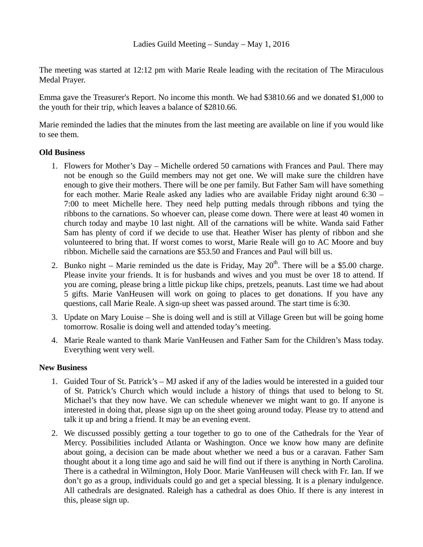The meeting was started at 12:12 pm with Marie Reale leading with the recitation of The Miraculous Medal Prayer.

Emma gave the Treasurer's Report. No income this month. We had \$3810.66 and we donated \$1,000 to the youth for their trip, which leaves a balance of \$2810.66.

Marie reminded the ladies that the minutes from the last meeting are available on line if you would like to see them.

## **Old Business**

- 1. Flowers for Mother's Day Michelle ordered 50 carnations with Frances and Paul. There may not be enough so the Guild members may not get one. We will make sure the children have enough to give their mothers. There will be one per family. But Father Sam will have something for each mother. Marie Reale asked any ladies who are available Friday night around 6:30 – 7:00 to meet Michelle here. They need help putting medals through ribbons and tying the ribbons to the carnations. So whoever can, please come down. There were at least 40 women in church today and maybe 10 last night. All of the carnations will be white. Wanda said Father Sam has plenty of cord if we decide to use that. Heather Wiser has plenty of ribbon and she volunteered to bring that. If worst comes to worst, Marie Reale will go to AC Moore and buy ribbon. Michelle said the carnations are \$53.50 and Frances and Paul will bill us.
- 2. Bunko night Marie reminded us the date is Friday, May  $20<sup>th</sup>$ . There will be a \$5.00 charge. Please invite your friends. It is for husbands and wives and you must be over 18 to attend. If you are coming, please bring a little pickup like chips, pretzels, peanuts. Last time we had about 5 gifts. Marie VanHeusen will work on going to places to get donations. If you have any questions, call Marie Reale. A sign-up sheet was passed around. The start time is 6:30.
- 3. Update on Mary Louise She is doing well and is still at Village Green but will be going home tomorrow. Rosalie is doing well and attended today's meeting.
- 4. Marie Reale wanted to thank Marie VanHeusen and Father Sam for the Children's Mass today. Everything went very well.

## **New Business**

- 1. Guided Tour of St. Patrick's MJ asked if any of the ladies would be interested in a guided tour of St. Patrick's Church which would include a history of things that used to belong to St. Michael's that they now have. We can schedule whenever we might want to go. If anyone is interested in doing that, please sign up on the sheet going around today. Please try to attend and talk it up and bring a friend. It may be an evening event.
- 2. We discussed possibly getting a tour together to go to one of the Cathedrals for the Year of Mercy. Possibilities included Atlanta or Washington. Once we know how many are definite about going, a decision can be made about whether we need a bus or a caravan. Father Sam thought about it a long time ago and said he will find out if there is anything in North Carolina. There is a cathedral in Wilmington, Holy Door. Marie VanHeusen will check with Fr. Ian. If we don't go as a group, individuals could go and get a special blessing. It is a plenary indulgence. All cathedrals are designated. Raleigh has a cathedral as does Ohio. If there is any interest in this, please sign up.